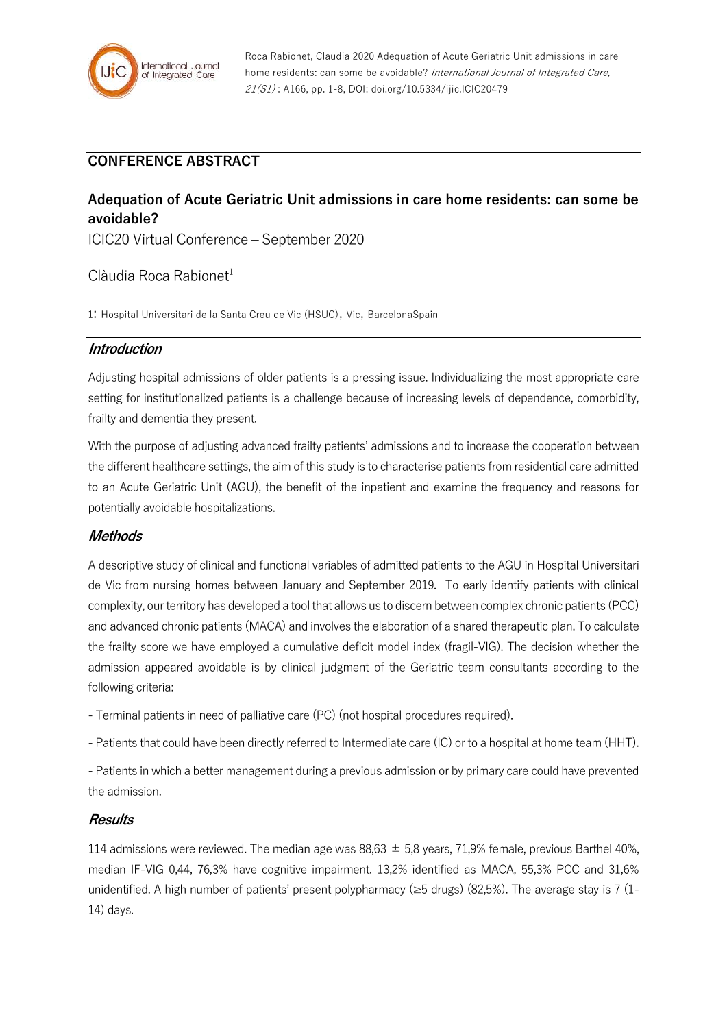

Roca Rabionet, Claudia 2020 Adequation of Acute Geriatric Unit admissions in care home residents: can some be avoidable? International Journal of Integrated Care, 21(S1) : A166, pp. 1-8, DOI: doi.org/10.5334/ijic.ICIC20479

## **CONFERENCE ABSTRACT**

# **Adequation of Acute Geriatric Unit admissions in care home residents: can some be avoidable?**

ICIC20 Virtual Conference – September 2020

## $C$ làudia Roca Rabionet<sup>1</sup>

1: Hospital Universitari de la Santa Creu de Vic (HSUC), Vic, BarcelonaSpain

#### **Introduction**

Adjusting hospital admissions of older patients is a pressing issue. Individualizing the most appropriate care setting for institutionalized patients is a challenge because of increasing levels of dependence, comorbidity, frailty and dementia they present.

With the purpose of adjusting advanced frailty patients' admissions and to increase the cooperation between the different healthcare settings, the aim of this study is to characterise patients from residential care admitted to an Acute Geriatric Unit (AGU), the benefit of the inpatient and examine the frequency and reasons for potentially avoidable hospitalizations.

#### **Methods**

A descriptive study of clinical and functional variables of admitted patients to the AGU in Hospital Universitari de Vic from nursing homes between January and September 2019. To early identify patients with clinical complexity, our territory has developed a tool that allows us to discern between complex chronic patients (PCC) and advanced chronic patients (MACA) and involves the elaboration of a shared therapeutic plan. To calculate the frailty score we have employed a cumulative deficit model index (fragil-VIG). The decision whether the admission appeared avoidable is by clinical judgment of the Geriatric team consultants according to the following criteria:

- Terminal patients in need of palliative care (PC) (not hospital procedures required).

- Patients that could have been directly referred to Intermediate care (IC) or to a hospital at home team (HHT).

- Patients in which a better management during a previous admission or by primary care could have prevented the admission.

#### **Results**

114 admissions were reviewed. The median age was  $88.63 \pm 5.8$  years, 71.9% female, previous Barthel 40%, median IF-VIG 0,44, 76,3% have cognitive impairment. 13,2% identified as MACA, 55,3% PCC and 31,6% unidentified. A high number of patients' present polypharmacy ( $\geq$ 5 drugs) (82,5%). The average stay is 7 (1-14) days.